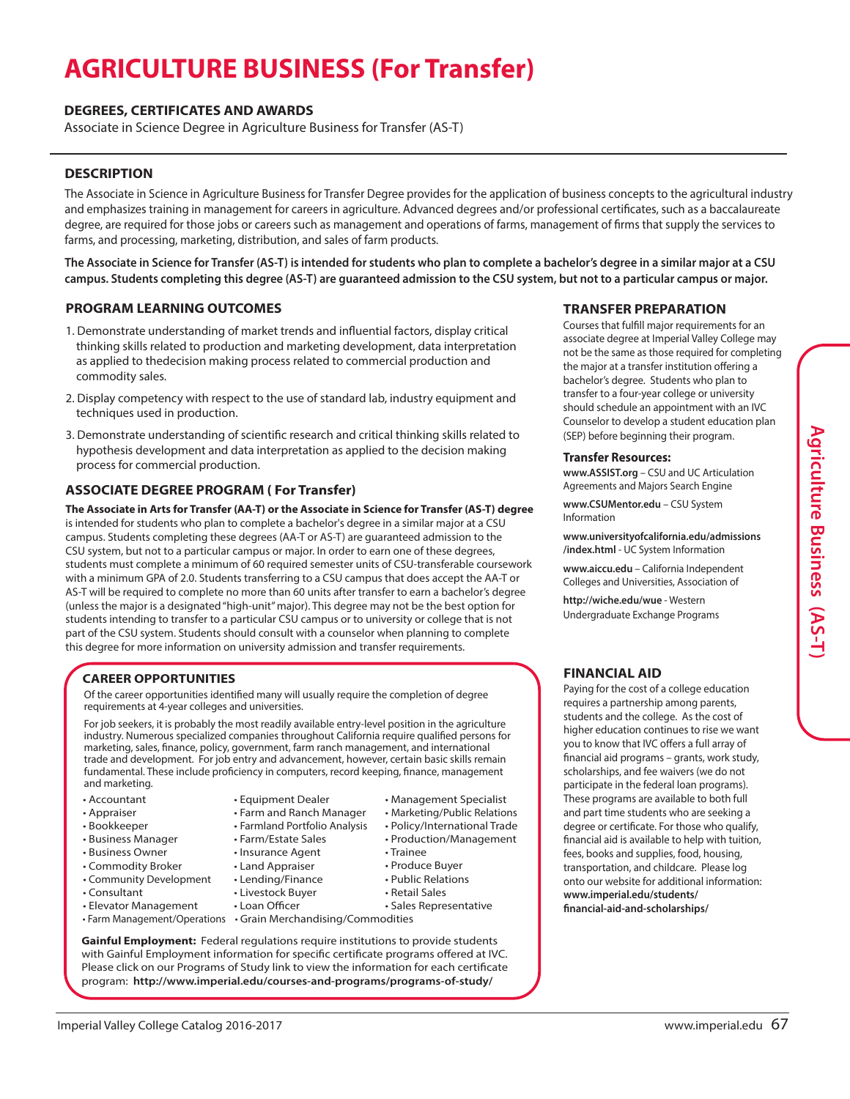# **AGRICULTURE BUSINESS (For Transfer)**

#### **DEGREES, CERTIFICATES AND AWARDS**

Associate in Science Degree in Agriculture Business for Transfer (AS-T)

#### **DESCRIPTION**

The Associate in Science in Agriculture Business for Transfer Degree provides for the application of business concepts to the agricultural industry and emphasizes training in management for careers in agriculture. Advanced degrees and/or professional certificates, such as a baccalaureate degree, are required for those jobs or careers such as management and operations of farms, management of firms that supply the services to farms, and processing, marketing, distribution, and sales of farm products.

The Associate in Science for Transfer (AS-T) is intended for students who plan to complete a bachelor's degree in a similar major at a CSU campus. Students completing this degree (AS-T) are quaranteed admission to the CSU system, but not to a particular campus or major.

#### **PROGRAM LEARNING OUTCOMES**

- 1. Demonstrate understanding of market trends and influential factors, display critical thinking skills related to production and marketing development, data interpretation as applied to thedecision making process related to commercial production and commodity sales.
- 2. Display competency with respect to the use of standard lab, industry equipment and techniques used in production.
- 3. Demonstrate understanding of scientific research and critical thinking skills related to hypothesis development and data interpretation as applied to the decision making process for commercial production.

#### **ASSOCIATE DEGREE PROGRAM ( For Transfer)**

**The Associate in Arts for Transfer (AA-T) or the Associate in Science for Transfer (AS-T) degree** is intended for students who plan to complete a bachelor's degree in a similar major at a CSU campus. Students completing these degrees (AA-T or AS-T) are guaranteed admission to the CSU system, but not to a particular campus or major. In order to earn one of these degrees, students must complete a minimum of 60 required semester units of CSU-transferable coursework with a minimum GPA of 2.0. Students transferring to a CSU campus that does accept the AA-T or AS-T will be required to complete no more than 60 units after transfer to earn a bachelor's degree (unless the major is a designated"high-unit"major). This degree may not be the best option for students intending to transfer to a particular CSU campus or to university or college that is not part of the CSU system. Students should consult with a counselor when planning to complete this degree for more information on university admission and transfer requirements.

# **CAREER OPPORTUNITIES**

requirements at 4-year colleges and universities.

For job seekers, it is probably the most readily available entry-level position in the agriculture industry. Numerous specialized companies throughout California require qualified persons for marketing, sales, finance, policy, government, farm ranch management, and international trade and development. For job entry and advancement, however, certain basic skills remain fundamental. These include proficiency in computers, record keeping, finance, management and marketing.

- Accountant
- 
- 
- 
- 
- Commodity Broker
- Community Development
- Consultant
- Elevator Management
- Farm Management/Operations Grain Merchandising/Commodities

Of the career opportunities identified many will usually require the completion of degree

• Equipment Dealer • Management Specialist

> • Farm and Ranch Manager • Farmland Portfolio Analysis • Farm/Estate Sales • Insurance Agent

- 
- Appraiser
- Bookkeeper
- Business Manager
- Business Owner
- - -
- Land Appraiser • Lending/Finance • Livestock Buyer • Loan Officer • Produce Buyer • Public Relations • Retail Sales • Sales Representative

• Trainee

• Marketing/Public Relations • Policy/International Trade • Production/Management

**Gainful Employment:** Federal regulations require institutions to provide students with Gainful Employment information for specific certificate programs offered at IVC. Please click on our Programs of Study link to view the information for each certificate program: **http://www.imperial.edu/courses-and-programs/programs-of-study/**

# **TRANSFER PREPARATION**

Courses that fulfill major requirements for an associate degree at Imperial Valley College may not be the same as those required for completing the major at a transfer institution offering a bachelor's degree. Students who plan to transfer to a four-year college or university should schedule an appointment with an IVC Counselor to develop a student education plan (SEP) before beginning their program.

#### **Transfer Resources:**

**www.ASSIST.org** – CSU and UC Articulation Agreements and Majors Search Engine

**www.CSUMentor.edu** – CSU System Information

**www.universityofcalifornia.edu/admissions /index.html** - UC System Information

**www.aiccu.edu** – California Independent Colleges and Universities, Association of

**http://wiche.edu/wue** - Western Undergraduate Exchange Programs

# **FINANCIAL AID**

Paying for the cost of a college education requires a partnership among parents, students and the college. As the cost of higher education continues to rise we want you to know that IVC offers a full array of financial aid programs – grants, work study, scholarships, and fee waivers (we do not participate in the federal loan programs). These programs are available to both full and part time students who are seeking a degree or certificate. For those who qualify, financial aid is available to help with tuition, fees, books and supplies, food, housing, transportation, and childcare. Please log onto our website for additional information: **www.imperial.edu/students/ financial-aid-and-scholarships/**

**A**